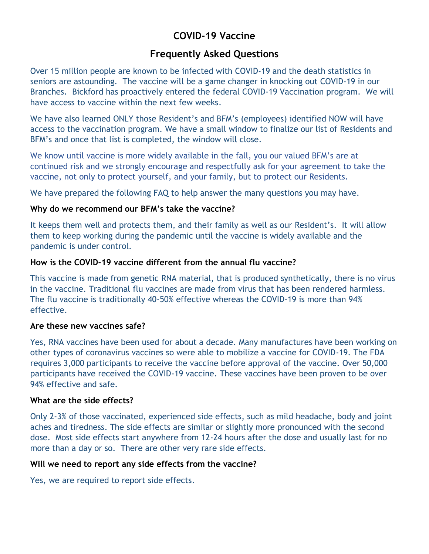# **COVID-19 Vaccine**

## **Frequently Asked Questions**

Over 15 million people are known to be infected with COVID-19 and the death statistics in seniors are astounding. The vaccine will be a game changer in knocking out COVID-19 in our Branches. Bickford has proactively entered the federal COVID-19 Vaccination program. We will have access to vaccine within the next few weeks.

We have also learned ONLY those Resident's and BFM's (employees) identified NOW will have access to the vaccination program. We have a small window to finalize our list of Residents and BFM's and once that list is completed, the window will close.

We know until vaccine is more widely available in the fall, you our valued BFM's are at continued risk and we strongly encourage and respectfully ask for your agreement to take the vaccine, not only to protect yourself, and your family, but to protect our Residents.

We have prepared the following FAQ to help answer the many questions you may have.

## **Why do we recommend our BFM's take the vaccine?**

It keeps them well and protects them, and their family as well as our Resident's. It will allow them to keep working during the pandemic until the vaccine is widely available and the pandemic is under control.

## **How is the COVID-19 vaccine different from the annual flu vaccine?**

This vaccine is made from genetic RNA material, that is produced synthetically, there is no virus in the vaccine. Traditional flu vaccines are made from virus that has been rendered harmless. The flu vaccine is traditionally 40-50% effective whereas the COVID-19 is more than 94% effective.

## **Are these new vaccines safe?**

Yes, RNA vaccines have been used for about a decade. Many manufactures have been working on other types of coronavirus vaccines so were able to mobilize a vaccine for COVID-19. The FDA requires 3,000 participants to receive the vaccine before approval of the vaccine. Over 50,000 participants have received the COVID-19 vaccine. These vaccines have been proven to be over 94% effective and safe.

## **What are the side effects?**

Only 2-3% of those vaccinated, experienced side effects, such as mild headache, body and joint aches and tiredness. The side effects are similar or slightly more pronounced with the second dose. Most side effects start anywhere from 12-24 hours after the dose and usually last for no more than a day or so. There are other very rare side effects.

## **Will we need to report any side effects from the vaccine?**

Yes, we are required to report side effects.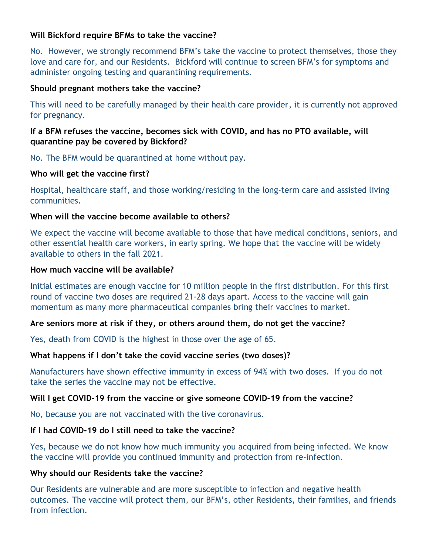## **Will Bickford require BFMs to take the vaccine?**

No. However, we strongly recommend BFM's take the vaccine to protect themselves, those they love and care for, and our Residents. Bickford will continue to screen BFM's for symptoms and administer ongoing testing and quarantining requirements.

## **Should pregnant mothers take the vaccine?**

This will need to be carefully managed by their health care provider, it is currently not approved for pregnancy.

## **If a BFM refuses the vaccine, becomes sick with COVID, and has no PTO available, will quarantine pay be covered by Bickford?**

No. The BFM would be quarantined at home without pay.

## **Who will get the vaccine first?**

Hospital, healthcare staff, and those working/residing in the long-term care and assisted living communities.

## **When will the vaccine become available to others?**

We expect the vaccine will become available to those that have medical conditions, seniors, and other essential health care workers, in early spring. We hope that the vaccine will be widely available to others in the fall 2021.

## **How much vaccine will be available?**

Initial estimates are enough vaccine for 10 million people in the first distribution. For this first round of vaccine two doses are required 21-28 days apart. Access to the vaccine will gain momentum as many more pharmaceutical companies bring their vaccines to market.

## **Are seniors more at risk if they, or others around them, do not get the vaccine?**

Yes, death from COVID is the highest in those over the age of 65.

## **What happens if I don't take the covid vaccine series (two doses)?**

Manufacturers have shown effective immunity in excess of 94% with two doses. If you do not take the series the vaccine may not be effective.

## **Will I get COVID-19 from the vaccine or give someone COVID-19 from the vaccine?**

No, because you are not vaccinated with the live coronavirus.

## **If I had COVID-19 do I still need to take the vaccine?**

Yes, because we do not know how much immunity you acquired from being infected. We know the vaccine will provide you continued immunity and protection from re-infection.

## **Why should our Residents take the vaccine?**

Our Residents are vulnerable and are more susceptible to infection and negative health outcomes. The vaccine will protect them, our BFM's, other Residents, their families, and friends from infection.